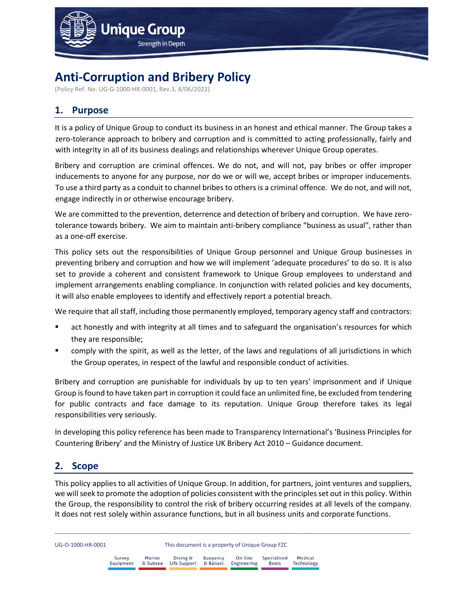

# **Anti-Corruption and Bribery Policy**

(Policy Ref. No. UG-G-1000-HR-0001, Rev.3, 8/06/2022)

## **1. Purpose**

It is a policy of Unique Group to conduct its business in an honest and ethical manner. The Group takes a zero-tolerance approach to bribery and corruption and is committed to acting professionally, fairly and with integrity in all of its business dealings and relationships wherever Unique Group operates.

Bribery and corruption are criminal offences. We do not, and will not, pay bribes or offer improper inducements to anyone for any purpose, nor do we or will we, accept bribes or improper inducements. To use a third party as a conduit to channel bribes to others is a criminal offence. We do not, and will not, engage indirectly in or otherwise encourage bribery.

We are committed to the prevention, deterrence and detection of bribery and corruption. We have zerotolerance towards bribery. We aim to maintain anti-bribery compliance "business as usual", rather than as a one-off exercise.

This policy sets out the responsibilities of Unique Group personnel and Unique Group businesses in preventing bribery and corruption and how we will implement 'adequate procedures' to do so. It is also set to provide a coherent and consistent framework to Unique Group employees to understand and implement arrangements enabling compliance. In conjunction with related policies and key documents, it will also enable employees to identify and effectively report a potential breach.

We require that all staff, including those permanently employed, temporary agency staff and contractors:

- act honestly and with integrity at all times and to safeguard the organisation's resources for which they are responsible;
- comply with the spirit, as well as the letter, of the laws and regulations of all jurisdictions in which the Group operates, in respect of the lawful and responsible conduct of activities.

Bribery and corruption are punishable for individuals by up to ten years' imprisonment and if Unique Group is found to have taken part in corruption it could face an unlimited fine, be excluded from tendering for public contracts and face damage to its reputation. Unique Group therefore takes its legal responsibilities very seriously.

In developing this policy reference has been made to Transparency International's 'Business Principles for Countering Bribery' and the Ministry of Justice UK Bribery Act 2010 – Guidance document.

## **2. Scope**

This policy applies to all activities of Unique Group. In addition, for partners, joint ventures and suppliers, we will seek to promote the adoption of policies consistent with the principles set out in this policy. Within the Group, the responsibility to control the risk of bribery occurring resides at all levels of the company. It does not rest solely within assurance functions, but in all business units and corporate functions.

| UG-O-1000-HR-0001 |                     |        | This document is a property of Unique Group FZC         |                 |  |                                     |                       |
|-------------------|---------------------|--------|---------------------------------------------------------|-----------------|--|-------------------------------------|-----------------------|
|                   | Survey<br>Equipment | Marine | Diving &<br>& Subsea Life Support & Ballast Engineering | <b>Buovancy</b> |  | On-Site Specialised<br><b>Boats</b> | Medical<br>Technology |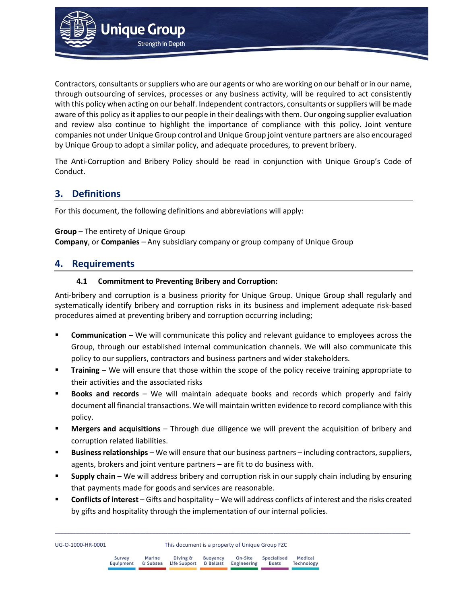

Contractors, consultants or suppliers who are our agents or who are working on our behalf or in our name, through outsourcing of services, processes or any business activity, will be required to act consistently with this policy when acting on our behalf. Independent contractors, consultants or suppliers will be made aware of this policy as it applies to our people in their dealings with them. Our ongoing supplier evaluation and review also continue to highlight the importance of compliance with this policy. Joint venture companies not under Unique Group control and Unique Group joint venture partners are also encouraged by Unique Group to adopt a similar policy, and adequate procedures, to prevent bribery.

The Anti-Corruption and Bribery Policy should be read in conjunction with Unique Group's Code of Conduct.

## **3. Definitions**

For this document, the following definitions and abbreviations will apply:

**Group** – The entirety of Unique Group **Company**, or **Companies** – Any subsidiary company or group company of Unique Group

## **4. Requirements**

UG-O-1000-HR-0001

#### **4.1 Commitment to Preventing Bribery and Corruption:**

Anti-bribery and corruption is a business priority for Unique Group. Unique Group shall regularly and systematically identify bribery and corruption risks in its business and implement adequate risk-based procedures aimed at preventing bribery and corruption occurring including;

- **Communication** We will communicate this policy and relevant guidance to employees across the Group, through our established internal communication channels. We will also communicate this policy to our suppliers, contractors and business partners and wider stakeholders.
- **Training** We will ensure that those within the scope of the policy receive training appropriate to their activities and the associated risks
- **Books and records** We will maintain adequate books and records which properly and fairly document all financial transactions. We will maintain written evidence to record compliance with this policy.
- **Mergers and acquisitions** Through due diligence we will prevent the acquisition of bribery and corruption related liabilities.
- Business relationships We will ensure that our business partners including contractors, suppliers, agents, brokers and joint venture partners – are fit to do business with.
- **Supply chain** We will address bribery and corruption risk in our supply chain including by ensuring that payments made for goods and services are reasonable.
- **Conflicts of interest** Gifts and hospitality We will address conflicts of interest and the risks created by gifts and hospitality through the implementation of our internal policies.

|  | This document is a property of Unique Group FZ |  |  |  |  |
|--|------------------------------------------------|--|--|--|--|
|  |                                                |  |  |  |  |

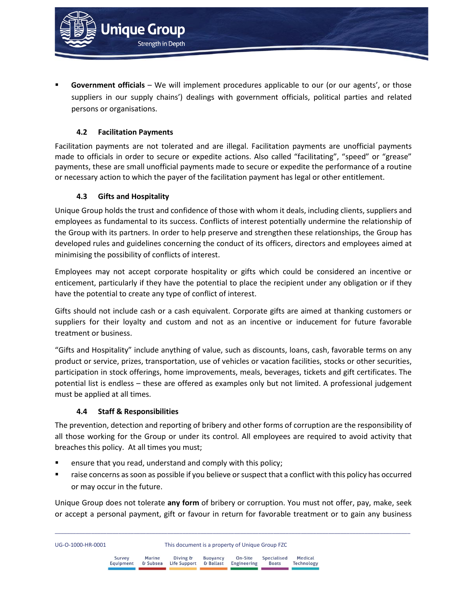Government officials - We will implement procedures applicable to our (or our agents', or those suppliers in our supply chains') dealings with government officials, political parties and related persons or organisations.

## **4.2 Facilitation Payments**

**Unique Group** 

**Strength in Depth** 

Facilitation payments are not tolerated and are illegal. Facilitation payments are unofficial payments made to officials in order to secure or expedite actions. Also called "facilitating", "speed" or "grease" payments, these are small unofficial payments made to secure or expedite the performance of a routine or necessary action to which the payer of the facilitation payment has legal or other entitlement.

#### **4.3 Gifts and Hospitality**

Unique Group holds the trust and confidence of those with whom it deals, including clients, suppliers and employees as fundamental to its success. Conflicts of interest potentially undermine the relationship of the Group with its partners. In order to help preserve and strengthen these relationships, the Group has developed rules and guidelines concerning the conduct of its officers, directors and employees aimed at minimising the possibility of conflicts of interest.

Employees may not accept corporate hospitality or gifts which could be considered an incentive or enticement, particularly if they have the potential to place the recipient under any obligation or if they have the potential to create any type of conflict of interest.

Gifts should not include cash or a cash equivalent. Corporate gifts are aimed at thanking customers or suppliers for their loyalty and custom and not as an incentive or inducement for future favorable treatment or business.

"Gifts and Hospitality" include anything of value, such as discounts, loans, cash, favorable terms on any product or service, prizes, transportation, use of vehicles or vacation facilities, stocks or other securities, participation in stock offerings, home improvements, meals, beverages, tickets and gift certificates. The potential list is endless – these are offered as examples only but not limited. A professional judgement must be applied at all times.

#### **4.4 Staff & Responsibilities**

Equipment

The prevention, detection and reporting of bribery and other forms of corruption are the responsibility of all those working for the Group or under its control. All employees are required to avoid activity that breaches this policy. At all times you must;

- ensure that you read, understand and comply with this policy;
- raise concerns as soon as possible if you believe or suspect that a conflict with this policy has occurred or may occur in the future.

Unique Group does not tolerate **any form** of bribery or corruption. You must not offer, pay, make, seek or accept a personal payment, gift or favour in return for favorable treatment or to gain any business

\_\_\_\_\_\_\_\_\_\_\_\_\_\_\_\_\_\_\_\_\_\_\_\_\_\_\_\_\_\_\_\_\_\_\_\_\_\_\_\_\_\_\_\_\_\_\_\_\_\_\_\_\_\_\_\_\_\_\_\_\_\_\_\_\_\_\_\_\_\_\_\_\_\_\_\_\_\_\_\_\_\_\_\_\_\_\_\_\_\_\_\_\_\_\_\_\_\_\_\_\_\_\_\_\_\_\_\_\_\_\_\_\_\_\_\_\_

Engineering

**Boats** 

& Ballast

Medical

Technology

| UG-O-1000-HR-0001 |  |             |  | This document is a property of Unique Group FZC |  |                                                 |  |  |  |
|-------------------|--|-------------|--|-------------------------------------------------|--|-------------------------------------------------|--|--|--|
|                   |  | $M - 1 - 1$ |  |                                                 |  | Divisor Discovered On City Consisting d Modical |  |  |  |

& Subsea

Life Support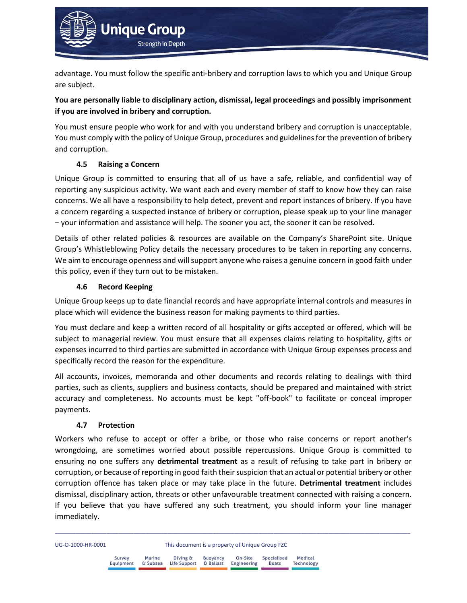

advantage. You must follow the specific anti-bribery and corruption laws to which you and Unique Group are subject.

## **You are personally liable to disciplinary action, dismissal, legal proceedings and possibly imprisonment if you are involved in bribery and corruption.**

You must ensure people who work for and with you understand bribery and corruption is unacceptable. You must comply with the policy of Unique Group, procedures and guidelines for the prevention of bribery and corruption.

## **4.5 Raising a Concern**

Unique Group is committed to ensuring that all of us have a safe, reliable, and confidential way of reporting any suspicious activity. We want each and every member of staff to know how they can raise concerns. We all have a responsibility to help detect, prevent and report instances of bribery. If you have a concern regarding a suspected instance of bribery or corruption, please speak up to your line manager – your information and assistance will help. The sooner you act, the sooner it can be resolved.

Details of other related policies & resources are available on the Company's SharePoint site. Unique Group's Whistleblowing Policy details the necessary procedures to be taken in reporting any concerns. We aim to encourage openness and will support anyone who raises a genuine concern in good faith under this policy, even if they turn out to be mistaken.

## **4.6 Record Keeping**

Unique Group keeps up to date financial records and have appropriate internal controls and measures in place which will evidence the business reason for making payments to third parties.

You must declare and keep a written record of all hospitality or gifts accepted or offered, which will be subject to managerial review. You must ensure that all expenses claims relating to hospitality, gifts or expenses incurred to third parties are submitted in accordance with Unique Group expenses process and specifically record the reason for the expenditure.

All accounts, invoices, memoranda and other documents and records relating to dealings with third parties, such as clients, suppliers and business contacts, should be prepared and maintained with strict accuracy and completeness. No accounts must be kept "off-book" to facilitate or conceal improper payments.

## **4.7 Protection**

Workers who refuse to accept or offer a bribe, or those who raise concerns or report another's wrongdoing, are sometimes worried about possible repercussions. Unique Group is committed to ensuring no one suffers any **detrimental treatment** as a result of refusing to take part in bribery or corruption, or because of reporting in good faith their suspicion that an actual or potential bribery or other corruption offence has taken place or may take place in the future. **Detrimental treatment** includes dismissal, disciplinary action, threats or other unfavourable treatment connected with raising a concern. If you believe that you have suffered any such treatment, you should inform your line manager immediately.

UG-O-1000-HR-0001 This document is a property of Unique Group FZC

| Survey<br>Equipment | Marine<br>& Subsea | Diving &<br>Life Support & Ballast Engineering | <b>Buoyancy</b> | On-Site | Specialised<br>Boats | Medical<br>Technology |
|---------------------|--------------------|------------------------------------------------|-----------------|---------|----------------------|-----------------------|
|                     |                    |                                                |                 |         |                      |                       |